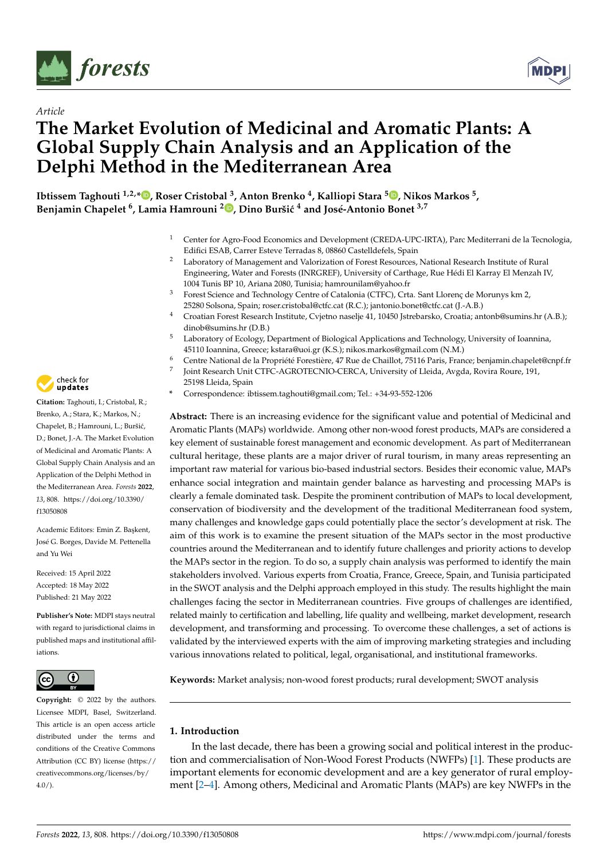



# *Article* **The Market Evolution of Medicinal and Aromatic Plants: A Global Supply Chain Analysis and an Application of the Delphi Method in the Mediterranean Area**

**Ibtissem Taghouti 1,2,[\\*](https://orcid.org/0000-0001-8155-8505) , Roser Cristobal <sup>3</sup> , Anton Brenko <sup>4</sup> , Kalliopi Stara <sup>5</sup> [,](https://orcid.org/0000-0002-4398-608X) Nikos Markos <sup>5</sup> , Benjamin Chapelet <sup>6</sup> , Lamia Hamrouni <sup>2</sup> [,](https://orcid.org/0000-0002-5577-7306) Dino Burši´c <sup>4</sup> and José-Antonio Bonet 3,7**

- <sup>1</sup> Center for Agro-Food Economics and Development (CREDA-UPC-IRTA), Parc Mediterrani de la Tecnologia, Edifici ESAB, Carrer Esteve Terradas 8, 08860 Castelldefels, Spain
- <sup>2</sup> Laboratory of Management and Valorization of Forest Resources, National Research Institute of Rural Engineering, Water and Forests (INRGREF), University of Carthage, Rue Hédi El Karray El Menzah IV, 1004 Tunis BP 10, Ariana 2080, Tunisia; hamrounilam@yahoo.fr
- <sup>3</sup> Forest Science and Technology Centre of Catalonia (CTFC), Crta. Sant Llorenç de Morunys km 2, 25280 Solsona, Spain; roser.cristobal@ctfc.cat (R.C.); jantonio.bonet@ctfc.cat (J.-A.B.)
- <sup>4</sup> Croatian Forest Research Institute, Cvjetno naselje 41, 10450 Jstrebarsko, Croatia; antonb@sumins.hr (A.B.); dinob@sumins.hr (D.B.)
- <sup>5</sup> Laboratory of Ecology, Department of Biological Applications and Technology, University of Ioannina, 45110 Ioannina, Greece; kstara@uoi.gr (K.S.); nikos.markos@gmail.com (N.M.)
- <sup>6</sup> Centre National de la Propriété Forestière, 47 Rue de Chaillot, 75116 Paris, France; benjamin.chapelet@cnpf.fr
- 7 Joint Research Unit CTFC-AGROTECNIO-CERCA, University of Lleida, Avgda, Rovira Roure, 191,
	- 25198 Lleida, Spain
- **\*** Correspondence: ibtissem.taghouti@gmail.com; Tel.: +34-93-552-1206

**Abstract:** There is an increasing evidence for the significant value and potential of Medicinal and Aromatic Plants (MAPs) worldwide. Among other non-wood forest products, MAPs are considered a key element of sustainable forest management and economic development. As part of Mediterranean cultural heritage, these plants are a major driver of rural tourism, in many areas representing an important raw material for various bio-based industrial sectors. Besides their economic value, MAPs enhance social integration and maintain gender balance as harvesting and processing MAPs is clearly a female dominated task. Despite the prominent contribution of MAPs to local development, conservation of biodiversity and the development of the traditional Mediterranean food system, many challenges and knowledge gaps could potentially place the sector's development at risk. The aim of this work is to examine the present situation of the MAPs sector in the most productive countries around the Mediterranean and to identify future challenges and priority actions to develop the MAPs sector in the region. To do so, a supply chain analysis was performed to identify the main stakeholders involved. Various experts from Croatia, France, Greece, Spain, and Tunisia participated in the SWOT analysis and the Delphi approach employed in this study. The results highlight the main challenges facing the sector in Mediterranean countries. Five groups of challenges are identified, related mainly to certification and labelling, life quality and wellbeing, market development, research development, and transforming and processing. To overcome these challenges, a set of actions is validated by the interviewed experts with the aim of improving marketing strategies and including various innovations related to political, legal, organisational, and institutional frameworks.

**Keywords:** Market analysis; non-wood forest products; rural development; SWOT analysis

# **1. Introduction**

In the last decade, there has been a growing social and political interest in the production and commercialisation of Non-Wood Forest Products (NWFPs) [\[1\]](#page-10-0). These products are important elements for economic development and are a key generator of rural employment [\[2–](#page-10-1)[4\]](#page-10-2). Among others, Medicinal and Aromatic Plants (MAPs) are key NWFPs in the



**Citation:** Taghouti, I.; Cristobal, R.; Brenko, A.; Stara, K.; Markos, N.; Chapelet, B.; Hamrouni, L.; Buršić, D.; Bonet, J.-A. The Market Evolution of Medicinal and Aromatic Plants: A Global Supply Chain Analysis and an Application of the Delphi Method in the Mediterranean Area. *Forests* **2022**, *13*, 808. [https://doi.org/10.3390/](https://doi.org/10.3390/f13050808) [f13050808](https://doi.org/10.3390/f13050808)

Academic Editors: Emin Z. Ba¸skent, José G. Borges, Davide M. Pettenella and Yu Wei

Received: 15 April 2022 Accepted: 18 May 2022 Published: 21 May 2022

**Publisher's Note:** MDPI stays neutral with regard to jurisdictional claims in published maps and institutional affiliations.



**Copyright:** © 2022 by the authors. Licensee MDPI, Basel, Switzerland. This article is an open access article distributed under the terms and conditions of the Creative Commons Attribution (CC BY) license [\(https://](https://creativecommons.org/licenses/by/4.0/) [creativecommons.org/licenses/by/](https://creativecommons.org/licenses/by/4.0/)  $4.0/$ ).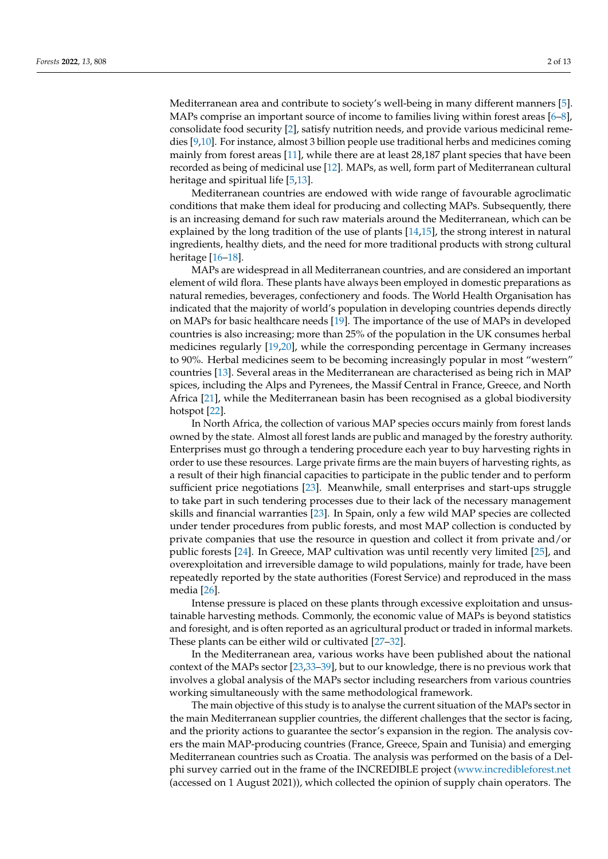Mediterranean area and contribute to society's well-being in many different manners [\[5\]](#page-10-3). MAPs comprise an important source of income to families living within forest areas [\[6–](#page-10-4)[8\]](#page-10-5), consolidate food security [\[2\]](#page-10-1), satisfy nutrition needs, and provide various medicinal remedies [\[9](#page-10-6)[,10\]](#page-10-7). For instance, almost 3 billion people use traditional herbs and medicines coming mainly from forest areas [\[11\]](#page-10-8), while there are at least 28,187 plant species that have been recorded as being of medicinal use [\[12\]](#page-10-9). MAPs, as well, form part of Mediterranean cultural heritage and spiritual life [\[5](#page-10-3)[,13\]](#page-10-10).

Mediterranean countries are endowed with wide range of favourable agroclimatic conditions that make them ideal for producing and collecting MAPs. Subsequently, there is an increasing demand for such raw materials around the Mediterranean, which can be explained by the long tradition of the use of plants [\[14,](#page-10-11)[15\]](#page-10-12), the strong interest in natural ingredients, healthy diets, and the need for more traditional products with strong cultural heritage [\[16](#page-10-13)[–18\]](#page-11-0).

MAPs are widespread in all Mediterranean countries, and are considered an important element of wild flora. These plants have always been employed in domestic preparations as natural remedies, beverages, confectionery and foods. The World Health Organisation has indicated that the majority of world's population in developing countries depends directly on MAPs for basic healthcare needs [\[19\]](#page-11-1). The importance of the use of MAPs in developed countries is also increasing; more than 25% of the population in the UK consumes herbal medicines regularly [\[19](#page-11-1)[,20\]](#page-11-2), while the corresponding percentage in Germany increases to 90%. Herbal medicines seem to be becoming increasingly popular in most "western" countries [\[13\]](#page-10-10). Several areas in the Mediterranean are characterised as being rich in MAP spices, including the Alps and Pyrenees, the Massif Central in France, Greece, and North Africa [\[21\]](#page-11-3), while the Mediterranean basin has been recognised as a global biodiversity hotspot [\[22\]](#page-11-4).

In North Africa, the collection of various MAP species occurs mainly from forest lands owned by the state. Almost all forest lands are public and managed by the forestry authority. Enterprises must go through a tendering procedure each year to buy harvesting rights in order to use these resources. Large private firms are the main buyers of harvesting rights, as a result of their high financial capacities to participate in the public tender and to perform sufficient price negotiations [\[23\]](#page-11-5). Meanwhile, small enterprises and start-ups struggle to take part in such tendering processes due to their lack of the necessary management skills and financial warranties [\[23\]](#page-11-5). In Spain, only a few wild MAP species are collected under tender procedures from public forests, and most MAP collection is conducted by private companies that use the resource in question and collect it from private and/or public forests [\[24\]](#page-11-6). In Greece, MAP cultivation was until recently very limited [\[25\]](#page-11-7), and overexploitation and irreversible damage to wild populations, mainly for trade, have been repeatedly reported by the state authorities (Forest Service) and reproduced in the mass media [\[26\]](#page-11-8).

Intense pressure is placed on these plants through excessive exploitation and unsustainable harvesting methods. Commonly, the economic value of MAPs is beyond statistics and foresight, and is often reported as an agricultural product or traded in informal markets. These plants can be either wild or cultivated [\[27–](#page-11-9)[32\]](#page-11-10).

In the Mediterranean area, various works have been published about the national context of the MAPs sector [\[23,](#page-11-5)[33](#page-11-11)[–39\]](#page-11-12), but to our knowledge, there is no previous work that involves a global analysis of the MAPs sector including researchers from various countries working simultaneously with the same methodological framework.

The main objective of this study is to analyse the current situation of the MAPs sector in the main Mediterranean supplier countries, the different challenges that the sector is facing, and the priority actions to guarantee the sector's expansion in the region. The analysis covers the main MAP-producing countries (France, Greece, Spain and Tunisia) and emerging Mediterranean countries such as Croatia. The analysis was performed on the basis of a Delphi survey carried out in the frame of the INCREDIBLE project [\(www.incredibleforest.net](www.incredibleforest.net) (accessed on 1 August 2021)), which collected the opinion of supply chain operators. The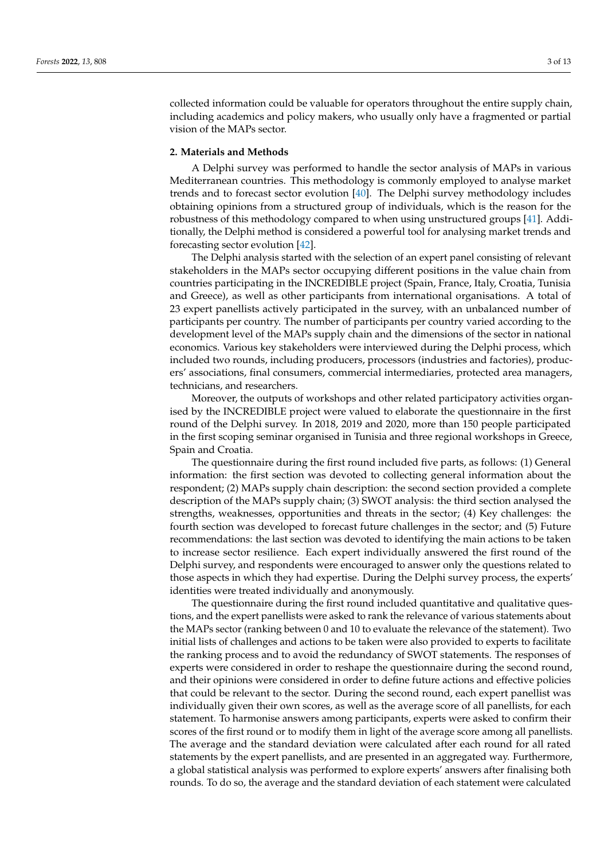collected information could be valuable for operators throughout the entire supply chain, including academics and policy makers, who usually only have a fragmented or partial vision of the MAPs sector.

# **2. Materials and Methods**

A Delphi survey was performed to handle the sector analysis of MAPs in various Mediterranean countries. This methodology is commonly employed to analyse market trends and to forecast sector evolution [\[40\]](#page-11-13). The Delphi survey methodology includes obtaining opinions from a structured group of individuals, which is the reason for the robustness of this methodology compared to when using unstructured groups [\[41\]](#page-11-14). Additionally, the Delphi method is considered a powerful tool for analysing market trends and forecasting sector evolution [\[42\]](#page-11-15).

The Delphi analysis started with the selection of an expert panel consisting of relevant stakeholders in the MAPs sector occupying different positions in the value chain from countries participating in the INCREDIBLE project (Spain, France, Italy, Croatia, Tunisia and Greece), as well as other participants from international organisations. A total of 23 expert panellists actively participated in the survey, with an unbalanced number of participants per country. The number of participants per country varied according to the development level of the MAPs supply chain and the dimensions of the sector in national economics. Various key stakeholders were interviewed during the Delphi process, which included two rounds, including producers, processors (industries and factories), producers' associations, final consumers, commercial intermediaries, protected area managers, technicians, and researchers.

Moreover, the outputs of workshops and other related participatory activities organised by the INCREDIBLE project were valued to elaborate the questionnaire in the first round of the Delphi survey. In 2018, 2019 and 2020, more than 150 people participated in the first scoping seminar organised in Tunisia and three regional workshops in Greece, Spain and Croatia.

The questionnaire during the first round included five parts, as follows: (1) General information: the first section was devoted to collecting general information about the respondent; (2) MAPs supply chain description: the second section provided a complete description of the MAPs supply chain; (3) SWOT analysis: the third section analysed the strengths, weaknesses, opportunities and threats in the sector; (4) Key challenges: the fourth section was developed to forecast future challenges in the sector; and (5) Future recommendations: the last section was devoted to identifying the main actions to be taken to increase sector resilience. Each expert individually answered the first round of the Delphi survey, and respondents were encouraged to answer only the questions related to those aspects in which they had expertise. During the Delphi survey process, the experts' identities were treated individually and anonymously.

The questionnaire during the first round included quantitative and qualitative questions, and the expert panellists were asked to rank the relevance of various statements about the MAPs sector (ranking between 0 and 10 to evaluate the relevance of the statement). Two initial lists of challenges and actions to be taken were also provided to experts to facilitate the ranking process and to avoid the redundancy of SWOT statements. The responses of experts were considered in order to reshape the questionnaire during the second round, and their opinions were considered in order to define future actions and effective policies that could be relevant to the sector. During the second round, each expert panellist was individually given their own scores, as well as the average score of all panellists, for each statement. To harmonise answers among participants, experts were asked to confirm their scores of the first round or to modify them in light of the average score among all panellists. The average and the standard deviation were calculated after each round for all rated statements by the expert panellists, and are presented in an aggregated way. Furthermore, a global statistical analysis was performed to explore experts' answers after finalising both rounds. To do so, the average and the standard deviation of each statement were calculated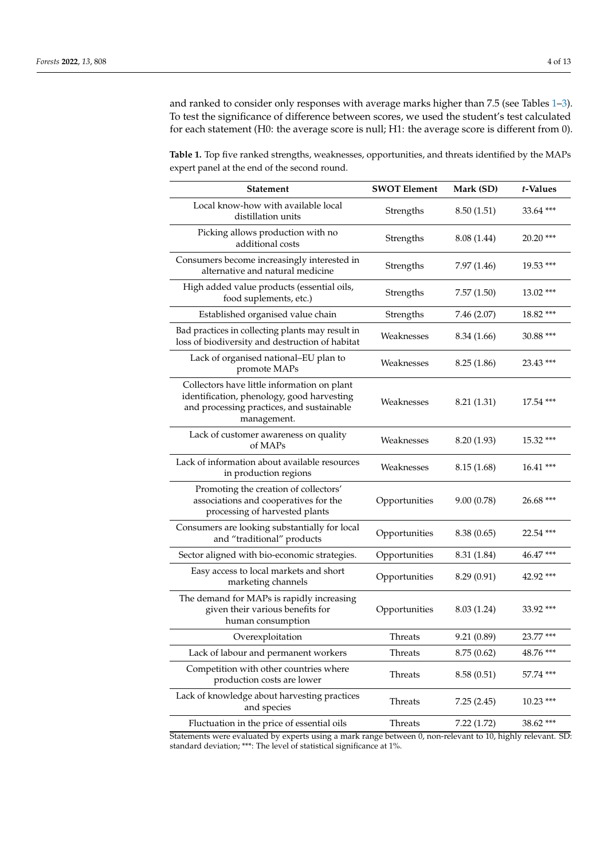and ranked to consider only responses with average marks higher than 7.5 (see Tables [1–](#page-3-0)[3\)](#page-5-0). To test the significance of difference between scores, we used the student's test calculated for each statement (H0: the average score is null; H1: the average score is different from 0).

<span id="page-3-0"></span>**Table 1.** Top five ranked strengths, weaknesses, opportunities, and threats identified by the MAPs expert panel at the end of the second round.

| <b>Statement</b>                                                                                                                                      | <b>SWOT Element</b> | Mark (SD)   | t-Values    |
|-------------------------------------------------------------------------------------------------------------------------------------------------------|---------------------|-------------|-------------|
| Local know-how with available local<br>distillation units                                                                                             | Strengths           | 8.50(1.51)  | 33.64 ***   |
| Picking allows production with no<br>additional costs                                                                                                 | Strengths           | 8.08 (1.44) | $20.20$ *** |
| Consumers become increasingly interested in<br>alternative and natural medicine                                                                       | Strengths           | 7.97 (1.46) | $19.53***$  |
| High added value products (essential oils,<br>food suplements, etc.)                                                                                  | Strengths           | 7.57(1.50)  | 13.02 ***   |
| Established organised value chain                                                                                                                     | Strengths           | 7.46 (2.07) | 18.82 ***   |
| Bad practices in collecting plants may result in<br>loss of biodiversity and destruction of habitat                                                   | Weaknesses          | 8.34 (1.66) | 30.88 ***   |
| Lack of organised national-EU plan to<br>promote MAPs                                                                                                 | Weaknesses          | 8.25(1.86)  | 23.43 ***   |
| Collectors have little information on plant<br>identification, phenology, good harvesting<br>and processing practices, and sustainable<br>management. | Weaknesses          | 8.21 (1.31) | $17.54$ *** |
| Lack of customer awareness on quality<br>of MAPs                                                                                                      | Weaknesses          | 8.20 (1.93) | 15.32***    |
| Lack of information about available resources<br>in production regions                                                                                | Weaknesses          | 8.15(1.68)  | $16.41***$  |
| Promoting the creation of collectors'<br>associations and cooperatives for the<br>processing of harvested plants                                      | Opportunities       | 9.00(0.78)  | $26.68$ *** |
| Consumers are looking substantially for local<br>and "traditional" products                                                                           | Opportunities       | 8.38(0.65)  | 22.54 ***   |
| Sector aligned with bio-economic strategies.                                                                                                          | Opportunities       | 8.31 (1.84) | 46.47***    |
| Easy access to local markets and short<br>marketing channels                                                                                          | Opportunities       | 8.29 (0.91) | $42.92$ *** |
| The demand for MAPs is rapidly increasing<br>given their various benefits for<br>human consumption                                                    | Opportunities       | 8.03 (1.24) | 33.92 ***   |
| Overexploitation                                                                                                                                      | Threats             | 9.21 (0.89) | 23.77 ***   |
| Lack of labour and permanent workers                                                                                                                  | Threats             | 8.75(0.62)  | $48.76$ *** |
| Competition with other countries where<br>production costs are lower                                                                                  | Threats             | 8.58(0.51)  | 57.74 ***   |
| Lack of knowledge about harvesting practices<br>and species                                                                                           | Threats             | 7.25(2.45)  | $10.23$ *** |
| Fluctuation in the price of essential oils                                                                                                            | Threats             | 7.22(1.72)  | 38.62 ***   |

Statements were evaluated by experts using a mark range between 0, non-relevant to 10, highly relevant. SD: standard deviation; \*\*\*: The level of statistical significance at 1%.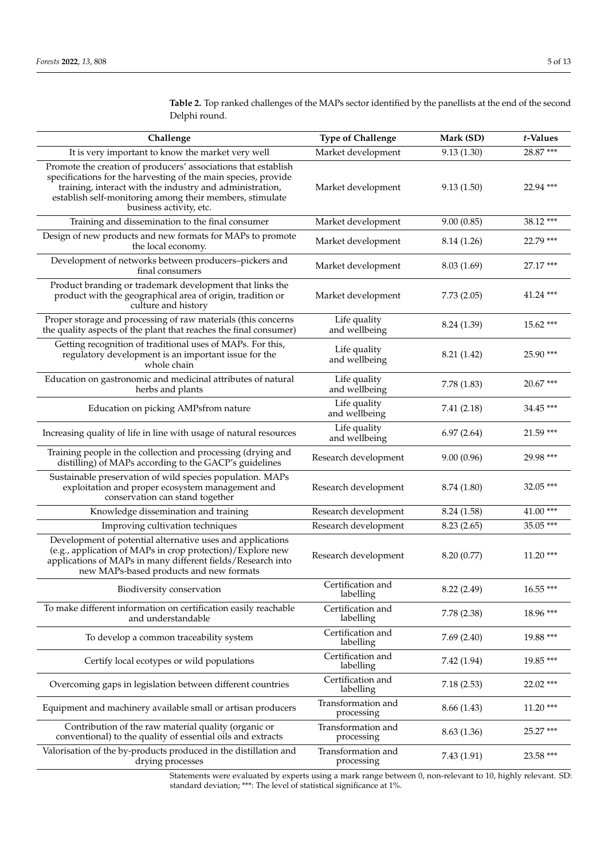| Challenge                                                                                                                                                                                                                                                                           | <b>Type of Challenge</b>         | Mark (SD)   | t-Values    |
|-------------------------------------------------------------------------------------------------------------------------------------------------------------------------------------------------------------------------------------------------------------------------------------|----------------------------------|-------------|-------------|
| It is very important to know the market very well                                                                                                                                                                                                                                   | Market development               | 9.13(1.30)  | 28.87***    |
| Promote the creation of producers' associations that establish<br>specifications for the harvesting of the main species, provide<br>training, interact with the industry and administration,<br>establish self-monitoring among their members, stimulate<br>business activity, etc. | Market development               | 9.13(1.50)  | 22.94 ***   |
| Training and dissemination to the final consumer                                                                                                                                                                                                                                    | Market development               | 9.00(0.85)  | 38.12***    |
| Design of new products and new formats for MAPs to promote<br>the local economy.                                                                                                                                                                                                    | Market development               | 8.14 (1.26) | 22.79 ***   |
| Development of networks between producers-pickers and<br>final consumers                                                                                                                                                                                                            | Market development               | 8.03(1.69)  | 27.17 ***   |
| Product branding or trademark development that links the<br>product with the geographical area of origin, tradition or<br>culture and history                                                                                                                                       | Market development               | 7.73(2.05)  | 41.24 ***   |
| Proper storage and processing of raw materials (this concerns<br>the quality aspects of the plant that reaches the final consumer)                                                                                                                                                  | Life quality<br>and wellbeing    | 8.24 (1.39) | 15.62 ***   |
| Getting recognition of traditional uses of MAPs. For this,<br>regulatory development is an important issue for the<br>whole chain                                                                                                                                                   | Life quality<br>and wellbeing    | 8.21 (1.42) | 25.90 ***   |
| Education on gastronomic and medicinal attributes of natural<br>herbs and plants                                                                                                                                                                                                    | Life quality<br>and wellbeing    | 7.78 (1.83) | 20.67***    |
| Education on picking AMPsfrom nature                                                                                                                                                                                                                                                | Life quality<br>and wellbeing    | 7.41(2.18)  | 34.45 ***   |
| Increasing quality of life in line with usage of natural resources                                                                                                                                                                                                                  | Life quality<br>and wellbeing    | 6.97(2.64)  | 21.59 ***   |
| Training people in the collection and processing (drying and<br>distilling) of MAPs according to the GACP's guidelines                                                                                                                                                              | Research development             | 9.00(0.96)  | 29.98 ***   |
| Sustainable preservation of wild species population. MAPs<br>exploitation and proper ecosystem management and<br>conservation can stand together                                                                                                                                    | Research development             | 8.74 (1.80) | 32.05***    |
| Knowledge dissemination and training                                                                                                                                                                                                                                                | Research development             | 8.24 (1.58) | 41.00***    |
| Improving cultivation techniques                                                                                                                                                                                                                                                    | Research development             | 8.23(2.65)  | 35.05 ***   |
| Development of potential alternative uses and applications<br>(e.g., application of MAPs in crop protection)/Explore new<br>applications of MAPs in many different fields/Research into<br>new MAPs-based products and new formats                                                  | Research development             | 8.20 (0.77) | $11.20$ *** |
| Biodiversity conservation                                                                                                                                                                                                                                                           | Certification and<br>labelling   | 8.22 (2.49) | 16.55***    |
| To make different information on certification easily reachable<br>and understandable                                                                                                                                                                                               | Certification and<br>labelling   | 7.78(2.38)  | 18.96 ***   |
| To develop a common traceability system                                                                                                                                                                                                                                             | Certification and<br>labelling   | 7.69(2.40)  | 19.88 ***   |
| Certify local ecotypes or wild populations                                                                                                                                                                                                                                          | Certification and<br>labelling   | 7.42 (1.94) | 19.85***    |
| Overcoming gaps in legislation between different countries                                                                                                                                                                                                                          | Certification and<br>labelling   | 7.18(2.53)  | 22.02 ***   |
| Equipment and machinery available small or artisan producers                                                                                                                                                                                                                        | Transformation and<br>processing | 8.66 (1.43) | $11.20***$  |
| Contribution of the raw material quality (organic or<br>conventional) to the quality of essential oils and extracts                                                                                                                                                                 | Transformation and<br>processing | 8.63(1.36)  | 25.27 ***   |
| Valorisation of the by-products produced in the distillation and<br>drying processes                                                                                                                                                                                                | Transformation and<br>processing | 7.43(1.91)  | 23.58 ***   |

<span id="page-4-0"></span>**Table 2.** Top ranked challenges of the MAPs sector identified by the panellists at the end of the second Delphi round.

Statements were evaluated by experts using a mark range between 0, non-relevant to 10, highly relevant. SD: standard deviation; \*\*\*: The level of statistical significance at 1%.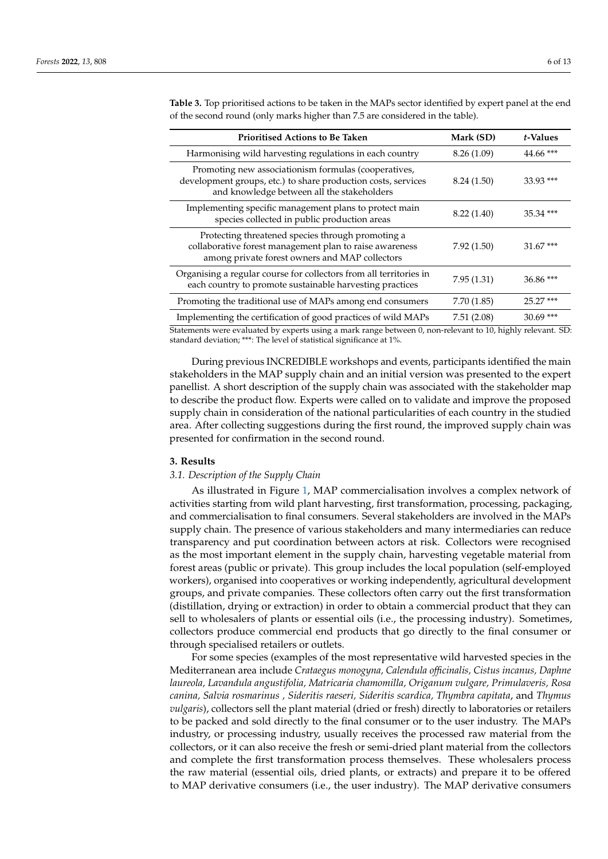| <b>Prioritised Actions to Be Taken</b>                                                                                                                              | Mark (SD)   | t-Values    |
|---------------------------------------------------------------------------------------------------------------------------------------------------------------------|-------------|-------------|
| Harmonising wild harvesting regulations in each country                                                                                                             | 8.26(1.09)  | $44.66$ *** |
| Promoting new associationism formulas (cooperatives,<br>development groups, etc.) to share production costs, services<br>and knowledge between all the stakeholders | 8.24 (1.50) | $33.93$ *** |
| Implementing specific management plans to protect main<br>species collected in public production areas                                                              | 8.22(1.40)  | $35.34$ *** |
| Protecting threatened species through promoting a<br>collaborative forest management plan to raise awareness<br>among private forest owners and MAP collectors      | 7.92(1.50)  | $31.67***$  |
| Organising a regular course for collectors from all territories in<br>each country to promote sustainable harvesting practices                                      | 7.95(1.31)  | $36.86$ *** |
| Promoting the traditional use of MAPs among end consumers                                                                                                           | 7.70 (1.85) | $25.27***$  |
| Implementing the certification of good practices of wild MAPs                                                                                                       | 7.51(2.08)  | $30.69$ *** |

<span id="page-5-0"></span>**Table 3.** Top prioritised actions to be taken in the MAPs sector identified by expert panel at the end of the second round (only marks higher than 7.5 are considered in the table).

Statements were evaluated by experts using a mark range between 0, non-relevant to 10, highly relevant. SD: standard deviation; \*\*\*: The level of statistical significance at 1%.

During previous INCREDIBLE workshops and events, participants identified the main stakeholders in the MAP supply chain and an initial version was presented to the expert panellist. A short description of the supply chain was associated with the stakeholder map to describe the product flow. Experts were called on to validate and improve the proposed supply chain in consideration of the national particularities of each country in the studied area. After collecting suggestions during the first round, the improved supply chain was presented for confirmation in the second round.

# **3. Results**

# *3.1. Description of the Supply Chain*

As illustrated in Figure [1,](#page-6-0) MAP commercialisation involves a complex network of activities starting from wild plant harvesting, first transformation, processing, packaging, and commercialisation to final consumers. Several stakeholders are involved in the MAPs supply chain. The presence of various stakeholders and many intermediaries can reduce transparency and put coordination between actors at risk. Collectors were recognised as the most important element in the supply chain, harvesting vegetable material from forest areas (public or private). This group includes the local population (self-employed workers), organised into cooperatives or working independently, agricultural development groups, and private companies. These collectors often carry out the first transformation (distillation, drying or extraction) in order to obtain a commercial product that they can sell to wholesalers of plants or essential oils (i.e., the processing industry). Sometimes, collectors produce commercial end products that go directly to the final consumer or through specialised retailers or outlets.

For some species (examples of the most representative wild harvested species in the Mediterranean area include *Crataegus monogyna, Calendula officinalis, Cistus incanus, Daphne laureola, Lavandula angustifolia, Matricaria chamomilla, Origanum vulgare, Primulaveris, Rosa canina, Salvia rosmarinus , Sideritis raeseri, Sideritis scardica, Thymbra capitata*, and *Thymus vulgaris*), collectors sell the plant material (dried or fresh) directly to laboratories or retailers to be packed and sold directly to the final consumer or to the user industry. The MAPs industry, or processing industry, usually receives the processed raw material from the collectors, or it can also receive the fresh or semi-dried plant material from the collectors and complete the first transformation process themselves. These wholesalers process the raw material (essential oils, dried plants, or extracts) and prepare it to be offered to MAP derivative consumers (i.e., the user industry). The MAP derivative consumers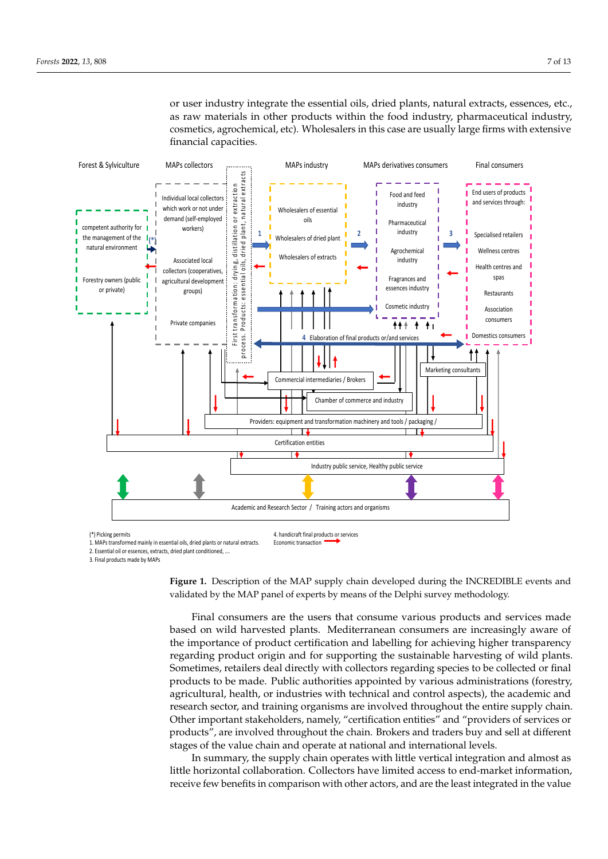<span id="page-6-0"></span>or user industry integrate the essential oils, dried plants, natural extracts, essences, etc., as raw materials in other products within the food industry, pharmaceutical industry, cosmetics, agrochemical, etc). Wholesalers in this case are usually large firms with extensive financial capacities.



Economic transaction

(\*) Picking permits

2. Essential oil or essences, extracts, dried plant conditioned, ….

3. Final products made by MAPs

**Figure 1.** Description of the MAP supply chain developed during the INCREDIBLE events and **Figure 1.** Description of the MAP supply chain developed during the INCREDIBLE events and validated by the MAP panel of experts by means of the Delphi survey methodology. validated by the MAP panel of experts by means of the Delphi survey methodology.

Final consumers are the users that consume various products and services made based on wild harvested plants. Mediterranean consumers are increasingly aware of the importance of product certification and labelling for achieving higher transparency regarding product origin and for supporting the sustainable harvesting of wild plants. Sometimes, retailers deal directly with collectors regarding species to be collected or final products to be made. Public authorities appointed by various administrations (forestry, agricultural, health, or industries with technical and control aspects), the academic and research sector, and training organisms are involved throughout the entire supply chain. Other important stakeholders, namely, "certification entities" and "providers of services or products", are involved throughout the chain. Brokers and traders buy and sell at different stages of the value chain and operate at national and international levels.

In summary, the supply chain operates with little vertical integration and almost as little horizontal collaboration. Collectors have limited access to end-market information, receive few benefits in comparison with other actors, and are the least integrated in the value

<sup>1.</sup> MAPs transformed mainly in essential oils, dried plants or natural extracts.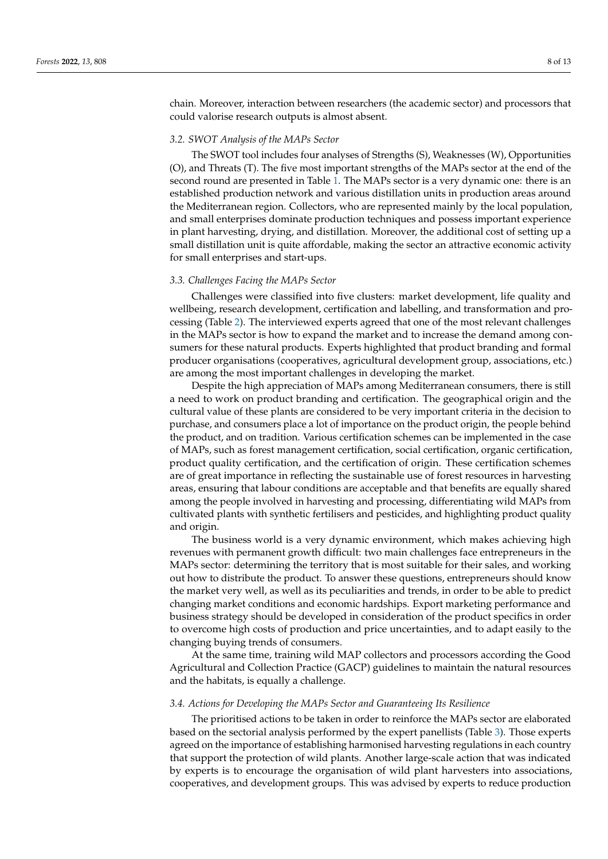chain. Moreover, interaction between researchers (the academic sector) and processors that could valorise research outputs is almost absent.

### *3.2. SWOT Analysis of the MAPs Sector*

The SWOT tool includes four analyses of Strengths (S), Weaknesses (W), Opportunities (O), and Threats (T). The five most important strengths of the MAPs sector at the end of the second round are presented in Table [1.](#page-3-0) The MAPs sector is a very dynamic one: there is an established production network and various distillation units in production areas around the Mediterranean region. Collectors, who are represented mainly by the local population, and small enterprises dominate production techniques and possess important experience in plant harvesting, drying, and distillation. Moreover, the additional cost of setting up a small distillation unit is quite affordable, making the sector an attractive economic activity for small enterprises and start-ups.

# *3.3. Challenges Facing the MAPs Sector*

Challenges were classified into five clusters: market development, life quality and wellbeing, research development, certification and labelling, and transformation and processing (Table [2\)](#page-4-0). The interviewed experts agreed that one of the most relevant challenges in the MAPs sector is how to expand the market and to increase the demand among consumers for these natural products. Experts highlighted that product branding and formal producer organisations (cooperatives, agricultural development group, associations, etc.) are among the most important challenges in developing the market.

Despite the high appreciation of MAPs among Mediterranean consumers, there is still a need to work on product branding and certification. The geographical origin and the cultural value of these plants are considered to be very important criteria in the decision to purchase, and consumers place a lot of importance on the product origin, the people behind the product, and on tradition. Various certification schemes can be implemented in the case of MAPs, such as forest management certification, social certification, organic certification, product quality certification, and the certification of origin. These certification schemes are of great importance in reflecting the sustainable use of forest resources in harvesting areas, ensuring that labour conditions are acceptable and that benefits are equally shared among the people involved in harvesting and processing, differentiating wild MAPs from cultivated plants with synthetic fertilisers and pesticides, and highlighting product quality and origin.

The business world is a very dynamic environment, which makes achieving high revenues with permanent growth difficult: two main challenges face entrepreneurs in the MAPs sector: determining the territory that is most suitable for their sales, and working out how to distribute the product. To answer these questions, entrepreneurs should know the market very well, as well as its peculiarities and trends, in order to be able to predict changing market conditions and economic hardships. Export marketing performance and business strategy should be developed in consideration of the product specifics in order to overcome high costs of production and price uncertainties, and to adapt easily to the changing buying trends of consumers.

At the same time, training wild MAP collectors and processors according the Good Agricultural and Collection Practice (GACP) guidelines to maintain the natural resources and the habitats, is equally a challenge.

### *3.4. Actions for Developing the MAPs Sector and Guaranteeing Its Resilience*

The prioritised actions to be taken in order to reinforce the MAPs sector are elaborated based on the sectorial analysis performed by the expert panellists (Table [3\)](#page-5-0). Those experts agreed on the importance of establishing harmonised harvesting regulations in each country that support the protection of wild plants. Another large-scale action that was indicated by experts is to encourage the organisation of wild plant harvesters into associations, cooperatives, and development groups. This was advised by experts to reduce production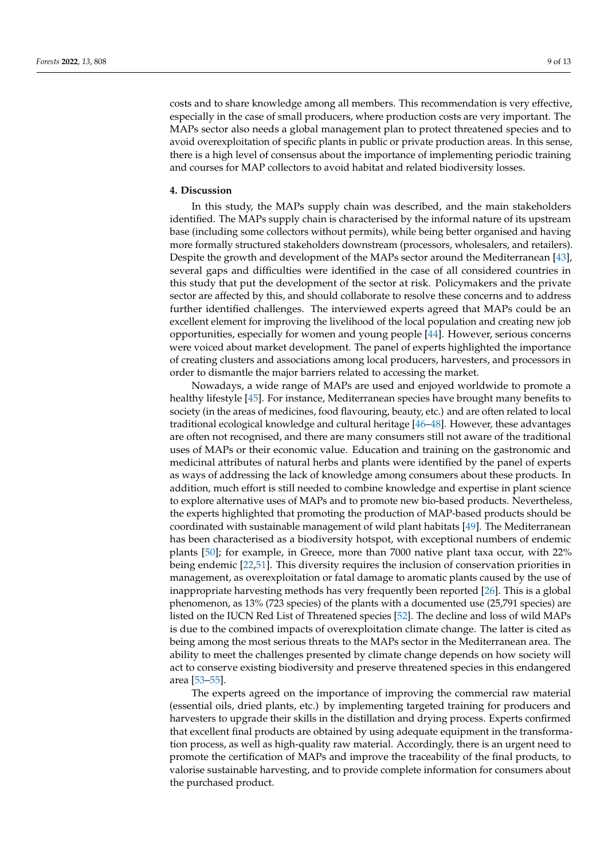costs and to share knowledge among all members. This recommendation is very effective, especially in the case of small producers, where production costs are very important. The MAPs sector also needs a global management plan to protect threatened species and to avoid overexploitation of specific plants in public or private production areas. In this sense, there is a high level of consensus about the importance of implementing periodic training and courses for MAP collectors to avoid habitat and related biodiversity losses.

# **4. Discussion**

In this study, the MAPs supply chain was described, and the main stakeholders identified. The MAPs supply chain is characterised by the informal nature of its upstream base (including some collectors without permits), while being better organised and having more formally structured stakeholders downstream (processors, wholesalers, and retailers). Despite the growth and development of the MAPs sector around the Mediterranean [\[43\]](#page-12-0), several gaps and difficulties were identified in the case of all considered countries in this study that put the development of the sector at risk. Policymakers and the private sector are affected by this, and should collaborate to resolve these concerns and to address further identified challenges. The interviewed experts agreed that MAPs could be an excellent element for improving the livelihood of the local population and creating new job opportunities, especially for women and young people [\[44\]](#page-12-1). However, serious concerns were voiced about market development. The panel of experts highlighted the importance of creating clusters and associations among local producers, harvesters, and processors in order to dismantle the major barriers related to accessing the market.

Nowadays, a wide range of MAPs are used and enjoyed worldwide to promote a healthy lifestyle [\[45\]](#page-12-2). For instance, Mediterranean species have brought many benefits to society (in the areas of medicines, food flavouring, beauty, etc.) and are often related to local traditional ecological knowledge and cultural heritage [\[46–](#page-12-3)[48\]](#page-12-4). However, these advantages are often not recognised, and there are many consumers still not aware of the traditional uses of MAPs or their economic value. Education and training on the gastronomic and medicinal attributes of natural herbs and plants were identified by the panel of experts as ways of addressing the lack of knowledge among consumers about these products. In addition, much effort is still needed to combine knowledge and expertise in plant science to explore alternative uses of MAPs and to promote new bio-based products. Nevertheless, the experts highlighted that promoting the production of MAP-based products should be coordinated with sustainable management of wild plant habitats [\[49\]](#page-12-5). The Mediterranean has been characterised as a biodiversity hotspot, with exceptional numbers of endemic plants [\[50\]](#page-12-6); for example, in Greece, more than 7000 native plant taxa occur, with 22% being endemic [\[22](#page-11-4)[,51\]](#page-12-7). This diversity requires the inclusion of conservation priorities in management, as overexploitation or fatal damage to aromatic plants caused by the use of inappropriate harvesting methods has very frequently been reported [\[26\]](#page-11-8). This is a global phenomenon, as 13% (723 species) of the plants with a documented use (25,791 species) are listed on the IUCN Red List of Threatened species [\[52\]](#page-12-8). The decline and loss of wild MAPs is due to the combined impacts of overexploitation climate change. The latter is cited as being among the most serious threats to the MAPs sector in the Mediterranean area. The ability to meet the challenges presented by climate change depends on how society will act to conserve existing biodiversity and preserve threatened species in this endangered area [\[53–](#page-12-9)[55\]](#page-12-10).

The experts agreed on the importance of improving the commercial raw material (essential oils, dried plants, etc.) by implementing targeted training for producers and harvesters to upgrade their skills in the distillation and drying process. Experts confirmed that excellent final products are obtained by using adequate equipment in the transformation process, as well as high-quality raw material. Accordingly, there is an urgent need to promote the certification of MAPs and improve the traceability of the final products, to valorise sustainable harvesting, and to provide complete information for consumers about the purchased product.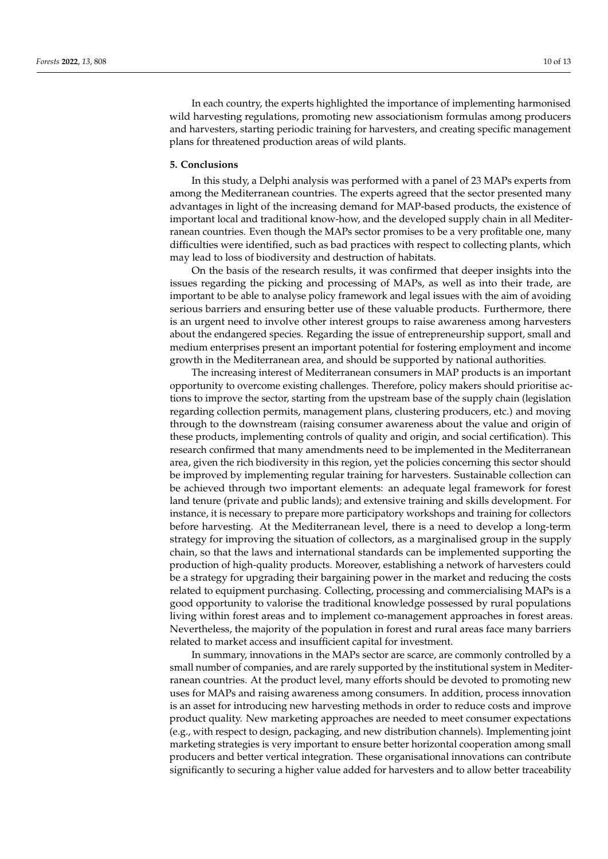In each country, the experts highlighted the importance of implementing harmonised wild harvesting regulations, promoting new associationism formulas among producers and harvesters, starting periodic training for harvesters, and creating specific management plans for threatened production areas of wild plants.

# **5. Conclusions**

In this study, a Delphi analysis was performed with a panel of 23 MAPs experts from among the Mediterranean countries. The experts agreed that the sector presented many advantages in light of the increasing demand for MAP-based products, the existence of important local and traditional know-how, and the developed supply chain in all Mediterranean countries. Even though the MAPs sector promises to be a very profitable one, many difficulties were identified, such as bad practices with respect to collecting plants, which may lead to loss of biodiversity and destruction of habitats.

On the basis of the research results, it was confirmed that deeper insights into the issues regarding the picking and processing of MAPs, as well as into their trade, are important to be able to analyse policy framework and legal issues with the aim of avoiding serious barriers and ensuring better use of these valuable products. Furthermore, there is an urgent need to involve other interest groups to raise awareness among harvesters about the endangered species. Regarding the issue of entrepreneurship support, small and medium enterprises present an important potential for fostering employment and income growth in the Mediterranean area, and should be supported by national authorities.

The increasing interest of Mediterranean consumers in MAP products is an important opportunity to overcome existing challenges. Therefore, policy makers should prioritise actions to improve the sector, starting from the upstream base of the supply chain (legislation regarding collection permits, management plans, clustering producers, etc.) and moving through to the downstream (raising consumer awareness about the value and origin of these products, implementing controls of quality and origin, and social certification). This research confirmed that many amendments need to be implemented in the Mediterranean area, given the rich biodiversity in this region, yet the policies concerning this sector should be improved by implementing regular training for harvesters. Sustainable collection can be achieved through two important elements: an adequate legal framework for forest land tenure (private and public lands); and extensive training and skills development. For instance, it is necessary to prepare more participatory workshops and training for collectors before harvesting. At the Mediterranean level, there is a need to develop a long-term strategy for improving the situation of collectors, as a marginalised group in the supply chain, so that the laws and international standards can be implemented supporting the production of high-quality products. Moreover, establishing a network of harvesters could be a strategy for upgrading their bargaining power in the market and reducing the costs related to equipment purchasing. Collecting, processing and commercialising MAPs is a good opportunity to valorise the traditional knowledge possessed by rural populations living within forest areas and to implement co-management approaches in forest areas. Nevertheless, the majority of the population in forest and rural areas face many barriers related to market access and insufficient capital for investment.

In summary, innovations in the MAPs sector are scarce, are commonly controlled by a small number of companies, and are rarely supported by the institutional system in Mediterranean countries. At the product level, many efforts should be devoted to promoting new uses for MAPs and raising awareness among consumers. In addition, process innovation is an asset for introducing new harvesting methods in order to reduce costs and improve product quality. New marketing approaches are needed to meet consumer expectations (e.g., with respect to design, packaging, and new distribution channels). Implementing joint marketing strategies is very important to ensure better horizontal cooperation among small producers and better vertical integration. These organisational innovations can contribute significantly to securing a higher value added for harvesters and to allow better traceability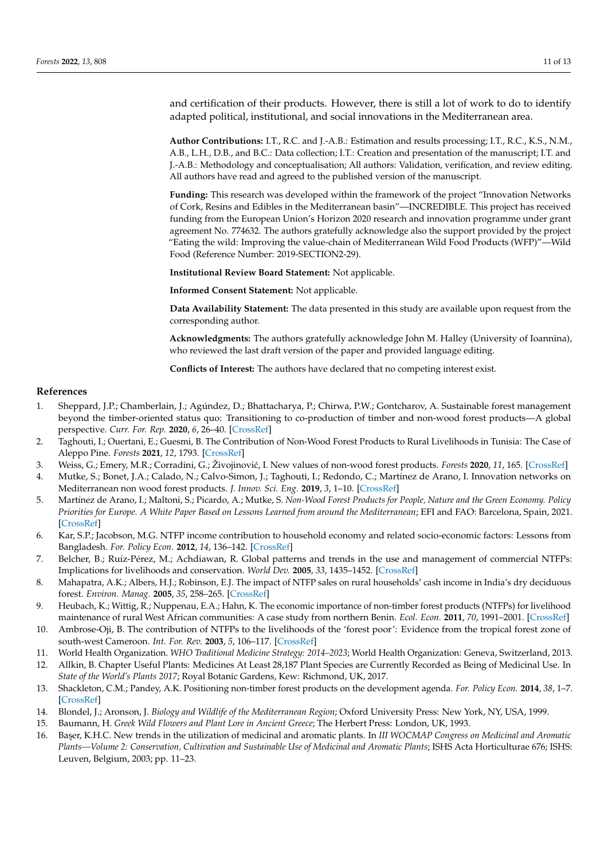and certification of their products. However, there is still a lot of work to do to identify adapted political, institutional, and social innovations in the Mediterranean area.

**Author Contributions:** I.T., R.C. and J.-A.B.: Estimation and results processing; I.T., R.C., K.S., N.M., A.B., L.H., D.B., and B.C.: Data collection; I.T.: Creation and presentation of the manuscript; I.T. and J.-A.B.: Methodology and conceptualisation; All authors: Validation, verification, and review editing. All authors have read and agreed to the published version of the manuscript.

**Funding:** This research was developed within the framework of the project "Innovation Networks of Cork, Resins and Edibles in the Mediterranean basin"—INCREDIBLE. This project has received funding from the European Union's Horizon 2020 research and innovation programme under grant agreement No. 774632. The authors gratefully acknowledge also the support provided by the project "Eating the wild: Improving the value-chain of Mediterranean Wild Food Products (WFP)"—Wild Food (Reference Number: 2019-SECTION2-29).

**Institutional Review Board Statement:** Not applicable.

**Informed Consent Statement:** Not applicable.

**Data Availability Statement:** The data presented in this study are available upon request from the corresponding author.

**Acknowledgments:** The authors gratefully acknowledge John M. Halley (University of Ioannina), who reviewed the last draft version of the paper and provided language editing.

**Conflicts of Interest:** The authors have declared that no competing interest exist.

#### **References**

- <span id="page-10-0"></span>1. Sheppard, J.P.; Chamberlain, J.; Agúndez, D.; Bhattacharya, P.; Chirwa, P.W.; Gontcharov, A. Sustainable forest management beyond the timber-oriented status quo: Transitioning to co-production of timber and non-wood forest products—A global perspective. *Curr. For. Rep.* **2020**, *6*, 26–40. [\[CrossRef\]](http://doi.org/10.1007/s40725-019-00107-1)
- <span id="page-10-1"></span>2. Taghouti, I.; Ouertani, E.; Guesmi, B. The Contribution of Non-Wood Forest Products to Rural Livelihoods in Tunisia: The Case of Aleppo Pine. *Forests* **2021**, *12*, 1793. [\[CrossRef\]](http://doi.org/10.3390/f12121793)
- 3. Weiss, G.; Emery, M.R.; Corradini, G.; Živojinović, I. New values of non-wood forest products. *Forests* 2020, 11, 165. [\[CrossRef\]](http://doi.org/10.3390/f11020165)
- <span id="page-10-2"></span>4. Mutke, S.; Bonet, J.A.; Calado, N.; Calvo-Simon, J.; Taghouti, I.; Redondo, C.; Martínez de Arano, I. Innovation networks on Mediterranean non wood forest products. *J. Innov. Sci. Eng.* **2019**, *3*, 1–10. [\[CrossRef\]](http://doi.org/10.38088/jise.498559)
- <span id="page-10-3"></span>5. Martínez de Arano, I.; Maltoni, S.; Picardo, A.; Mutke, S. *Non-Wood Forest Products for People, Nature and the Green Economy. Policy Priorities for Europe. A White Paper Based on Lessons Learned from around the Mediterranean*; EFI and FAO: Barcelona, Spain, 2021. [\[CrossRef\]](http://doi.org/10.36333/k2a05)
- <span id="page-10-4"></span>6. Kar, S.P.; Jacobson, M.G. NTFP income contribution to household economy and related socio-economic factors: Lessons from Bangladesh. *For. Policy Econ.* **2012**, *14*, 136–142. [\[CrossRef\]](http://doi.org/10.1016/j.forpol.2011.08.003)
- 7. Belcher, B.; Ruíz-Pérez, M.; Achdiawan, R. Global patterns and trends in the use and management of commercial NTFPs: Implications for livelihoods and conservation. *World Dev.* **2005**, *33*, 1435–1452. [\[CrossRef\]](http://doi.org/10.1016/j.worlddev.2004.10.007)
- <span id="page-10-5"></span>8. Mahapatra, A.K.; Albers, H.J.; Robinson, E.J. The impact of NTFP sales on rural households' cash income in India's dry deciduous forest. *Environ. Manag.* **2005**, *35*, 258–265. [\[CrossRef\]](http://doi.org/10.1007/s00267-003-8203-9)
- <span id="page-10-6"></span>9. Heubach, K.; Wittig, R.; Nuppenau, E.A.; Hahn, K. The economic importance of non-timber forest products (NTFPs) for livelihood maintenance of rural West African communities: A case study from northern Benin. *Ecol. Econ.* **2011**, *70*, 1991–2001. [\[CrossRef\]](http://doi.org/10.1016/j.ecolecon.2011.05.015)
- <span id="page-10-7"></span>10. Ambrose-Oji, B. The contribution of NTFPs to the livelihoods of the 'forest poor': Evidence from the tropical forest zone of south-west Cameroon. *Int. For. Rev.* **2003**, *5*, 106–117. [\[CrossRef\]](http://doi.org/10.1505/IFOR.5.2.106.17420)
- <span id="page-10-8"></span>11. World Health Organization. *WHO Traditional Medicine Strategy: 2014–2023*; World Health Organization: Geneva, Switzerland, 2013.
- <span id="page-10-9"></span>12. Allkin, B. Chapter Useful Plants: Medicines At Least 28,187 Plant Species are Currently Recorded as Being of Medicinal Use. In *State of the World's Plants 2017*; Royal Botanic Gardens, Kew: Richmond, UK, 2017.
- <span id="page-10-10"></span>13. Shackleton, C.M.; Pandey, A.K. Positioning non-timber forest products on the development agenda. *For. Policy Econ.* **2014**, *38*, 1–7. [\[CrossRef\]](http://doi.org/10.1016/j.forpol.2013.07.004)
- <span id="page-10-11"></span>14. Blondel, J.; Aronson, J. *Biology and Wildlife of the Mediterranean Region*; Oxford University Press: New York, NY, USA, 1999.
- <span id="page-10-12"></span>15. Baumann, H. *Greek Wild Flowers and Plant Lore in Ancient Greece*; The Herbert Press: London, UK, 1993.
- <span id="page-10-13"></span>16. Ba¸ser, K.H.C. New trends in the utilization of medicinal and aromatic plants. In *III WOCMAP Congress on Medicinal and Aromatic Plants—Volume 2: Conservation, Cultivation and Sustainable Use of Medicinal and Aromatic Plants*; ISHS Acta Horticulturae 676; ISHS: Leuven, Belgium, 2003; pp. 11–23.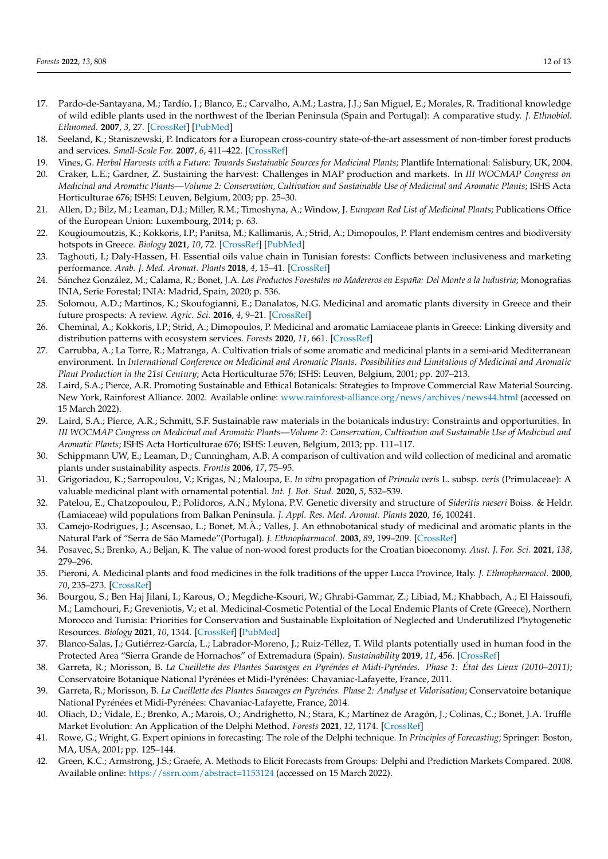- 17. Pardo-de-Santayana, M.; Tardío, J.; Blanco, E.; Carvalho, A.M.; Lastra, J.J.; San Miguel, E.; Morales, R. Traditional knowledge of wild edible plants used in the northwest of the Iberian Peninsula (Spain and Portugal): A comparative study. *J. Ethnobiol. Ethnomed.* **2007**, *3*, 27. [\[CrossRef\]](http://doi.org/10.1186/1746-4269-3-27) [\[PubMed\]](http://www.ncbi.nlm.nih.gov/pubmed/17555572)
- <span id="page-11-0"></span>18. Seeland, K.; Staniszewski, P. Indicators for a European cross-country state-of-the-art assessment of non-timber forest products and services. *Small-Scale For.* **2007**, *6*, 411–422. [\[CrossRef\]](http://doi.org/10.1007/s11842-007-9029-8)
- <span id="page-11-1"></span>19. Vines, G. *Herbal Harvests with a Future: Towards Sustainable Sources for Medicinal Plants; Plantlife International: Salisbury, UK, 2004.*
- <span id="page-11-2"></span>20. Craker, L.E.; Gardner, Z. Sustaining the harvest: Challenges in MAP production and markets. In *III WOCMAP Congress on Medicinal and Aromatic Plants—Volume 2: Conservation, Cultivation and Sustainable Use of Medicinal and Aromatic Plants*; ISHS Acta Horticulturae 676; ISHS: Leuven, Belgium, 2003; pp. 25–30.
- <span id="page-11-3"></span>21. Allen, D.; Bilz, M.; Leaman, D.J.; Miller, R.M.; Timoshyna, A.; Window, J. *European Red List of Medicinal Plants*; Publications Office of the European Union: Luxembourg, 2014; p. 63.
- <span id="page-11-4"></span>22. Kougioumoutzis, K.; Kokkoris, I.P.; Panitsa, M.; Kallimanis, A.; Strid, A.; Dimopoulos, P. Plant endemism centres and biodiversity hotspots in Greece. *Biology* **2021**, *10*, 72. [\[CrossRef\]](http://doi.org/10.3390/biology10020072) [\[PubMed\]](http://www.ncbi.nlm.nih.gov/pubmed/33498512)
- <span id="page-11-5"></span>23. Taghouti, I.; Daly-Hassen, H. Essential oils value chain in Tunisian forests: Conflicts between inclusiveness and marketing performance. *Arab. J. Med. Aromat. Plants* **2018**, *4*, 15–41. [\[CrossRef\]](http://doi.org/10.48347/IMIST.PRSM/ajmap-v4i2.14249)
- <span id="page-11-6"></span>24. Sánchez González, M.; Calama, R.; Bonet, J.A. *Los Productos Forestales no Madereros en España: Del Monte a la Industria*; Monografias INIA, Serie Forestal; INIA: Madrid, Spain, 2020; p. 536.
- <span id="page-11-7"></span>25. Solomou, A.D.; Martinos, K.; Skoufogianni, E.; Danalatos, N.G. Medicinal and aromatic plants diversity in Greece and their future prospects: A review. *Agric. Sci.* **2016**, *4*, 9–21. [\[CrossRef\]](http://doi.org/10.12735/as.v4i1p09)
- <span id="page-11-8"></span>26. Cheminal, A.; Kokkoris, I.P.; Strid, A.; Dimopoulos, P. Medicinal and aromatic Lamiaceae plants in Greece: Linking diversity and distribution patterns with ecosystem services. *Forests* **2020**, *11*, 661. [\[CrossRef\]](http://doi.org/10.3390/f11060661)
- <span id="page-11-9"></span>27. Carrubba, A.; La Torre, R.; Matranga, A. Cultivation trials of some aromatic and medicinal plants in a semi-arid Mediterranean environment. In *International Conference on Medicinal and Aromatic Plants. Possibilities and Limitations of Medicinal and Aromatic Plant Production in the 21st Century*; Acta Horticulturae 576; ISHS: Leuven, Belgium, 2001; pp. 207–213.
- 28. Laird, S.A.; Pierce, A.R. Promoting Sustainable and Ethical Botanicals: Strategies to Improve Commercial Raw Material Sourcing. New York, Rainforest Alliance. 2002. Available online: <www.rainforest-alliance.org/news/archives/news44.html> (accessed on 15 March 2022).
- 29. Laird, S.A.; Pierce, A.R.; Schmitt, S.F. Sustainable raw materials in the botanicals industry: Constraints and opportunities. In *III WOCMAP Congress on Medicinal and Aromatic Plants—Volume 2: Conservation, Cultivation and Sustainable Use of Medicinal and Aromatic Plants*; ISHS Acta Horticulturae 676; ISHS: Leuven, Belgium, 2013; pp. 111–117.
- 30. Schippmann UW, E.; Leaman, D.; Cunningham, A.B. A comparison of cultivation and wild collection of medicinal and aromatic plants under sustainability aspects. *Frontis* **2006**, *17*, 75–95.
- 31. Grigoriadou, K.; Sarropoulou, V.; Krigas, N.; Maloupa, E. *In vitro* propagation of *Primula veris* L. subsp. *veris* (Primulaceae): A valuable medicinal plant with ornamental potential. *Int. J. Bot. Stud.* **2020**, *5*, 532–539.
- <span id="page-11-10"></span>32. Patelou, E.; Chatzopoulou, P.; Polidoros, A.N.; Mylona, P.V. Genetic diversity and structure of *Sideritis raeseri* Boiss. & Heldr. (Lamiaceae) wild populations from Balkan Peninsula. *J. Appl. Res. Med. Aromat. Plants* **2020**, *16*, 100241.
- <span id="page-11-11"></span>33. Camejo-Rodrigues, J.; Ascensao, L.; Bonet, M.À.; Valles, J. An ethnobotanical study of medicinal and aromatic plants in the Natural Park of "Serra de São Mamede"(Portugal). *J. Ethnopharmacol.* **2003**, *89*, 199–209. [\[CrossRef\]](http://doi.org/10.1016/S0378-8741(03)00270-8)
- 34. Posavec, S.; Brenko, A.; Beljan, K. The value of non-wood forest products for the Croatian bioeconomy. *Aust. J. For. Sci.* **2021**, *138*, 279–296.
- 35. Pieroni, A. Medicinal plants and food medicines in the folk traditions of the upper Lucca Province, Italy. *J. Ethnopharmacol.* **2000**, *70*, 235–273. [\[CrossRef\]](http://doi.org/10.1016/S0378-8741(99)00207-X)
- 36. Bourgou, S.; Ben Haj Jilani, I.; Karous, O.; Megdiche-Ksouri, W.; Ghrabi-Gammar, Z.; Libiad, M.; Khabbach, A.; El Haissoufi, M.; Lamchouri, F.; Greveniotis, V.; et al. Medicinal-Cosmetic Potential of the Local Endemic Plants of Crete (Greece), Northern Morocco and Tunisia: Priorities for Conservation and Sustainable Exploitation of Neglected and Underutilized Phytogenetic Resources. *Biology* **2021**, *10*, 1344. [\[CrossRef\]](http://doi.org/10.3390/biology10121344) [\[PubMed\]](http://www.ncbi.nlm.nih.gov/pubmed/34943257)
- 37. Blanco-Salas, J.; Gutiérrez-García, L.; Labrador-Moreno, J.; Ruiz-Téllez, T. Wild plants potentially used in human food in the Protected Area "Sierra Grande de Hornachos" of Extremadura (Spain). *Sustainability* **2019**, *11*, 456. [\[CrossRef\]](http://doi.org/10.3390/su11020456)
- 38. Garreta, R.; Morisson, B. *La Cueillette des Plantes Sauvages en Pyrénées et Midi-Pyrénées. Phase 1: État des Lieux (2010–2011)*; Conservatoire Botanique National Pyrénées et Midi-Pyrénées: Chavaniac-Lafayette, France, 2011.
- <span id="page-11-12"></span>39. Garreta, R.; Morisson, B. *La Cueillette des Plantes Sauvages en Pyrénées. Phase 2: Analyse et Valorisation*; Conservatoire botanique National Pyrénées et Midi-Pyrénées: Chavaniac-Lafayette, France, 2014.
- <span id="page-11-13"></span>40. Oliach, D.; Vidale, E.; Brenko, A.; Marois, O.; Andrighetto, N.; Stara, K.; Martínez de Aragón, J.; Colinas, C.; Bonet, J.A. Truffle Market Evolution: An Application of the Delphi Method. *Forests* **2021**, *12*, 1174. [\[CrossRef\]](http://doi.org/10.3390/f12091174)
- <span id="page-11-14"></span>41. Rowe, G.; Wright, G. Expert opinions in forecasting: The role of the Delphi technique. In *Principles of Forecasting*; Springer: Boston, MA, USA, 2001; pp. 125–144.
- <span id="page-11-15"></span>42. Green, K.C.; Armstrong, J.S.; Graefe, A. Methods to Elicit Forecasts from Groups: Delphi and Prediction Markets Compared. 2008. Available online: <https://ssrn.com/abstract=1153124> (accessed on 15 March 2022).